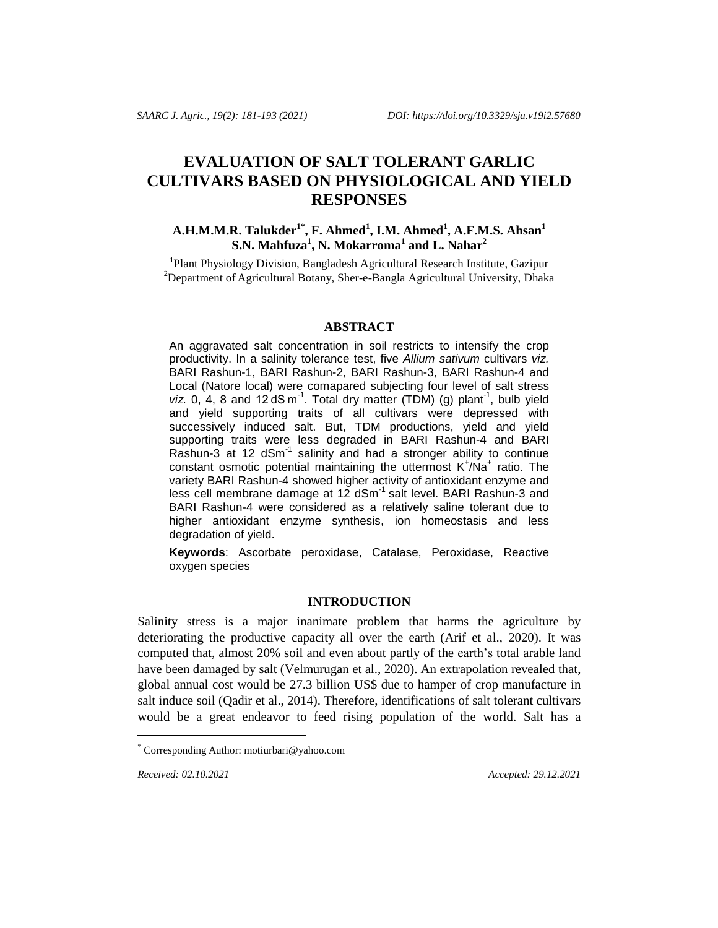# **EVALUATION OF SALT TOLERANT GARLIC CULTIVARS BASED ON PHYSIOLOGICAL AND YIELD RESPONSES**

# **A.H.M.M.R. Talukder1\* , F. Ahmed<sup>1</sup> , I.M. Ahmed<sup>1</sup> , A.F.M.S. Ahsan<sup>1</sup> S.N. Mahfuza<sup>1</sup> , N. Mokarroma<sup>1</sup> and L. Nahar<sup>2</sup>**

<sup>1</sup>Plant Physiology Division, Bangladesh Agricultural Research Institute, Gazipur <sup>2</sup>Department of Agricultural Botany, Sher-e-Bangla Agricultural University, Dhaka

#### **ABSTRACT**

An aggravated salt concentration in soil restricts to intensify the crop productivity. In a salinity tolerance test, five *Allium sativum* cultivars *viz.* BARI Rashun-1, BARI Rashun-2, BARI Rashun-3, BARI Rashun-4 and Local (Natore local) were comapared subjecting four level of salt stress  $viz. 0, 4, 8$  and 12 dS m<sup>-1</sup>. Total dry matter (TDM) (g) plant<sup>-1</sup>, bulb yield and yield supporting traits of all cultivars were depressed with successively induced salt. But, TDM productions, yield and yield supporting traits were less degraded in BARI Rashun-4 and BARI Rashun-3 at 12  $dSm^{-1}$  salinity and had a stronger ability to continue constant osmotic potential maintaining the uttermost K<sup>+</sup>/Na<sup>+</sup> ratio. The variety BARI Rashun-4 showed higher activity of antioxidant enzyme and less cell membrane damage at 12 dSm<sup>-1</sup> salt level. BARI Rashun-3 and BARI Rashun-4 were considered as a relatively saline tolerant due to higher antioxidant enzyme synthesis, ion homeostasis and less degradation of yield.

**Keywords**: Ascorbate peroxidase, Catalase, Peroxidase, Reactive oxygen species

# **INTRODUCTION**

Salinity stress is a major inanimate problem that harms the agriculture by deteriorating the productive capacity all over the earth (Arif et al., 2020). It was computed that, almost 20% soil and even about partly of the earth's total arable land have been damaged by salt (Velmurugan et al., 2020). An extrapolation revealed that, global annual cost would be 27.3 billion US\$ due to hamper of crop manufacture in salt induce soil (Qadir et al., 2014). Therefore, identifications of salt tolerant cultivars would be a great endeavor to feed rising population of the world. Salt has a

*Received: 02.10.2021 Accepted: 29.12.2021*

i<br>Li

<sup>\*</sup> Corresponding Author[: motiurbari@yahoo.com](mailto:motiurbari@yahoo.com)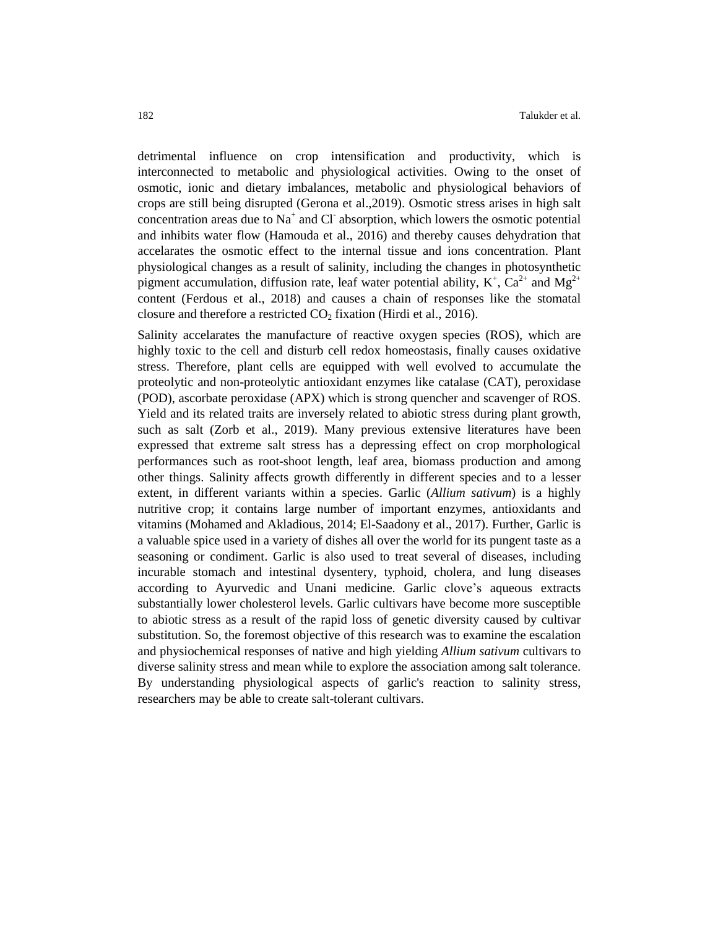detrimental influence on crop intensification and productivity, which is interconnected to metabolic and physiological activities. Owing to the onset of osmotic, ionic and dietary imbalances, metabolic and physiological behaviors of crops are still being disrupted (Gerona et al.,2019). Osmotic stress arises in high salt concentration areas due to  $Na<sup>+</sup>$  and Cl absorption, which lowers the osmotic potential and inhibits water flow (Hamouda et al., 2016) and thereby causes dehydration that accelarates the osmotic effect to the internal tissue and ions concentration. Plant physiological changes as a result of salinity, including the changes in photosynthetic pigment accumulation, diffusion rate, leaf water potential ability,  $K^+$ ,  $Ca^{2+}$  and  $Mg^{2+}$ content (Ferdous et al., 2018) and causes a chain of responses like the stomatal closure and therefore a restricted  $CO<sub>2</sub>$  fixation (Hirdi et al., 2016).

Salinity accelarates the manufacture of reactive oxygen species (ROS), which are highly toxic to the cell and disturb cell redox homeostasis, finally causes oxidative stress. Therefore, plant cells are equipped with well evolved to accumulate the proteolytic and non-proteolytic antioxidant enzymes like catalase (CAT), peroxidase (POD), ascorbate peroxidase (APX) which is strong quencher and scavenger of ROS. Yield and its related traits are inversely related to abiotic stress during plant growth, such as salt (Zorb et al., 2019). Many previous extensive literatures have been expressed that extreme salt stress has a depressing effect on crop morphological performances such as root-shoot length, leaf area, biomass production and among other things. Salinity affects growth differently in different species and to a lesser extent, in different variants within a species. Garlic (*Allium sativum*) is a highly nutritive crop; it contains large number of important enzymes, antioxidants and vitamins (Mohamed and Akladious, 2014; El-Saadony et al., 2017). Further, Garlic is a valuable spice used in a variety of dishes all over the world for its pungent taste as a seasoning or condiment. Garlic is also used to treat several of diseases, including incurable stomach and intestinal dysentery, typhoid, cholera, and lung diseases according to Ayurvedic and Unani medicine. Garlic clove's aqueous extracts substantially lower cholesterol levels. Garlic cultivars have become more susceptible to abiotic stress as a result of the rapid loss of genetic diversity caused by cultivar substitution. So, the foremost objective of this research was to examine the escalation and physiochemical responses of native and high yielding *Allium sativum* cultivars to diverse salinity stress and mean while to explore the association among salt tolerance. By understanding physiological aspects of garlic's reaction to salinity stress, researchers may be able to create salt-tolerant cultivars.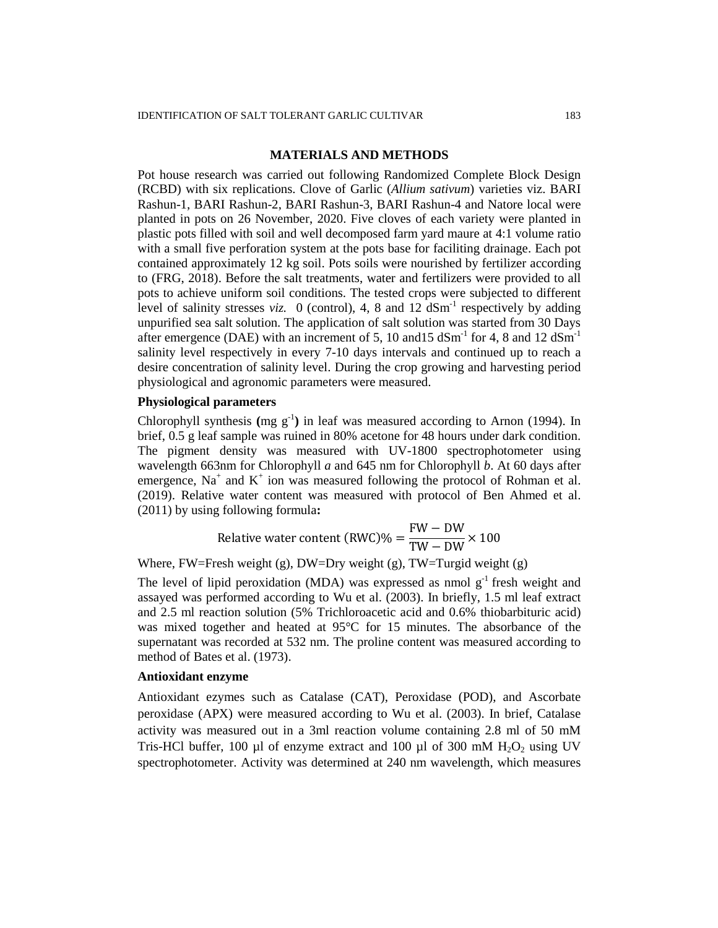# **MATERIALS AND METHODS**

Pot house research was carried out following Randomized Complete Block Design (RCBD) with six replications. Clove of Garlic (*Allium sativum*) varieties viz. BARI Rashun-1, BARI Rashun-2, BARI Rashun-3, BARI Rashun-4 and Natore local were planted in pots on 26 November, 2020. Five cloves of each variety were planted in plastic pots filled with soil and well decomposed farm yard maure at 4:1 volume ratio with a small five perforation system at the pots base for faciliting drainage. Each pot contained approximately 12 kg soil. Pots soils were nourished by fertilizer according to (FRG, 2018). Before the salt treatments, water and fertilizers were provided to all pots to achieve uniform soil conditions. The tested crops were subjected to different level of salinity stresses *viz.* 0 (control), 4, 8 and 12  $dSm^{-1}$  respectively by adding unpurified sea salt solution. The application of salt solution was started from 30 Days after emergence (DAE) with an increment of 5, 10 and 15 dSm<sup>-1</sup> for 4, 8 and 12 dSm<sup>-1</sup> salinity level respectively in every 7-10 days intervals and continued up to reach a desire concentration of salinity level. During the crop growing and harvesting period physiological and agronomic parameters were measured.

# **Physiological parameters**

Chlorophyll synthesis (mg  $g^{-1}$ ) in leaf was measured according to Arnon (1994). In brief, 0.5 g leaf sample was ruined in 80% acetone for 48 hours under dark condition. The pigment density was measured with UV-1800 spectrophotometer using wavelength 663nm for Chlorophyll *a* and 645 nm for Chlorophyll *b*. At 60 days after emergence,  $Na<sup>+</sup>$  and  $K<sup>+</sup>$  ion was measured following the protocol of Rohman et al. (2019). Relative water content was measured with protocol of Ben Ahmed et al. (2011) by using following formula**:**

Relative water content (RWC)% = 
$$
\frac{FW - DW}{TW - DW} \times 100
$$

Where, FW=Fresh weight (g), DW=Dry weight (g), TW=Turgid weight (g)

The level of lipid peroxidation (MDA) was expressed as nmol  $g<sup>-1</sup>$  fresh weight and assayed was performed according to Wu et al. (2003). In briefly, 1.5 ml leaf extract and 2.5 ml reaction solution (5% Trichloroacetic acid and 0.6% thiobarbituric acid) was mixed together and heated at 95°C for 15 minutes. The absorbance of the supernatant was recorded at 532 nm. The proline content was measured according to method of Bates et al. (1973).

# **Antioxidant enzyme**

Antioxidant ezymes such as Catalase (CAT), Peroxidase (POD), and Ascorbate peroxidase (APX) were measured according to Wu et al. (2003). In brief, Catalase activity was measured out in a 3ml reaction volume containing 2.8 ml of 50 mM Tris-HCl buffer, 100 µl of enzyme extract and 100 µl of 300 mM  $H_2O_2$  using UV spectrophotometer. Activity was determined at 240 nm wavelength, which measures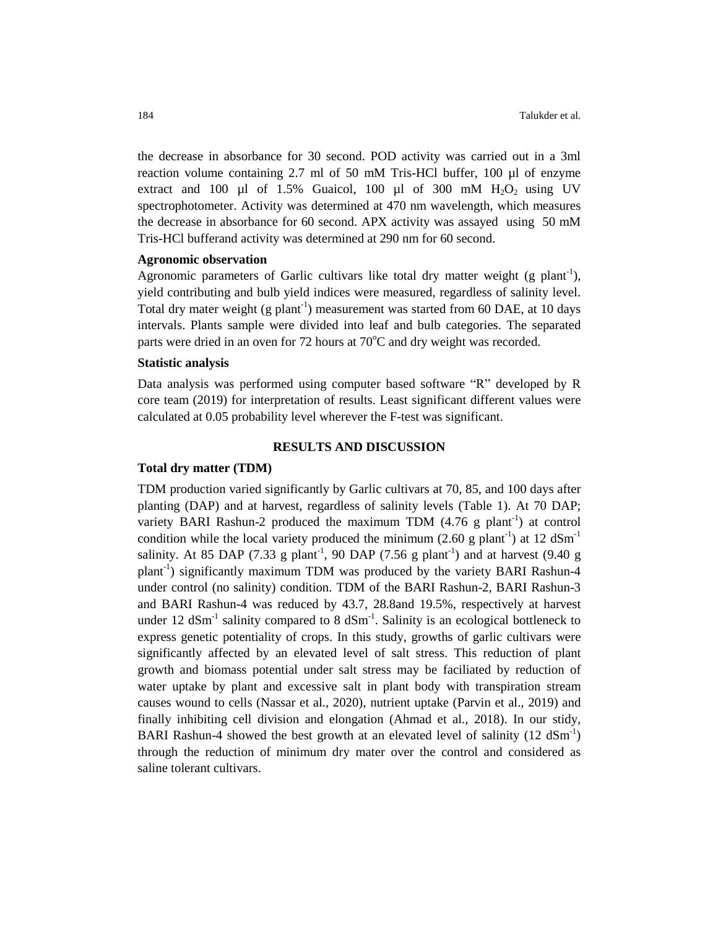the decrease in absorbance for 30 second. POD activity was carried out in a 3ml reaction volume containing 2.7 ml of 50 mM Tris-HCl buffer, 100 µl of enzyme extract and 100 µl of 1.5% Guaicol, 100 µl of 300 mM  $H_2O_2$  using UV spectrophotometer. Activity was determined at 470 nm wavelength, which measures the decrease in absorbance for 60 second. APX activity was assayed using 50 mM Tris-HCl bufferand activity was determined at 290 nm for 60 second.

### **Agronomic observation**

Agronomic parameters of Garlic cultivars like total dry matter weight (g plant<sup>-1</sup>), yield contributing and bulb yield indices were measured, regardless of salinity level. Total dry mater weight (g plant<sup>-1</sup>) measurement was started from 60 DAE, at 10 days intervals. Plants sample were divided into leaf and bulb categories. The separated parts were dried in an oven for 72 hours at  $70^{\circ}$ C and dry weight was recorded.

#### **Statistic analysis**

Data analysis was performed using computer based software "R" developed by R core team (2019) for interpretation of results. Least significant different values were calculated at 0.05 probability level wherever the F-test was significant.

#### **RESULTS AND DISCUSSION**

# **Total dry matter (TDM)**

TDM production varied significantly by Garlic cultivars at 70, 85, and 100 days after planting (DAP) and at harvest, regardless of salinity levels (Table 1). At 70 DAP; variety BARI Rashun-2 produced the maximum TDM  $(4.76 \text{ g plant}^{-1})$  at control condition while the local variety produced the minimum (2.60 g plant<sup>-1</sup>) at 12 dSm<sup>-1</sup> salinity. At 85 DAP (7.33 g plant<sup>-1</sup>, 90 DAP (7.56 g plant<sup>-1</sup>) and at harvest (9.40 g plant<sup>-1</sup>) significantly maximum TDM was produced by the variety BARI Rashun-4 under control (no salinity) condition. TDM of the BARI Rashun-2, BARI Rashun-3 and BARI Rashun-4 was reduced by 43.7, 28.8and 19.5%, respectively at harvest under 12  $dSm^{-1}$  salinity compared to 8  $dSm^{-1}$ . Salinity is an ecological bottleneck to express genetic potentiality of crops. In this study, growths of garlic cultivars were significantly affected by an elevated level of salt stress. This reduction of plant growth and biomass potential under salt stress may be faciliated by reduction of water uptake by plant and excessive salt in plant body with transpiration stream causes wound to cells (Nassar et al., 2020), nutrient uptake (Parvin et al., 2019) and finally inhibiting cell division and elongation (Ahmad et al., 2018). In our stidy, BARI Rashun-4 showed the best growth at an elevated level of salinity  $(12 \text{ dSm}^{-1})$ through the reduction of minimum dry mater over the control and considered as saline tolerant cultivars.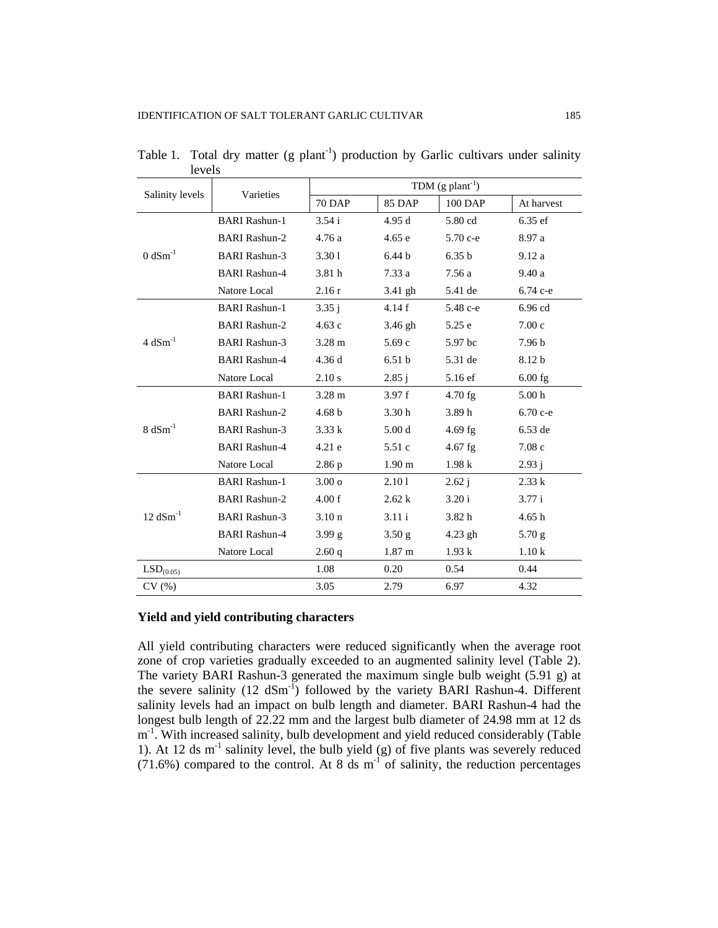| Salinity levels        | Varieties            | TDM $(g$ plant <sup>-1</sup> ) |                   |            |                   |
|------------------------|----------------------|--------------------------------|-------------------|------------|-------------------|
|                        |                      | <b>70 DAP</b>                  | <b>85 DAP</b>     | 100 DAP    | At harvest        |
| $0$ dSm <sup>-1</sup>  | <b>BARI</b> Rashun-1 | 3.54i                          | 4.95d             | 5.80 cd    | $6.35$ ef         |
|                        | <b>BARI</b> Rashun-2 | 4.76a                          | 4.65e             | $5.70 c-e$ | 8.97 a            |
|                        | <b>BARI Rashun-3</b> | 3.301                          | 6.44 <sub>b</sub> | 6.35 b     | 9.12a             |
|                        | <b>BARI Rashun-4</b> | 3.81 h                         | 7.33a             | 7.56 a     | 9.40a             |
|                        | Natore Local         | 2.16r                          | 3.41 gh           | 5.41 de    | 6.74 с-е          |
| $4$ dSm <sup>-1</sup>  | <b>BARI Rashun-1</b> | 3.35j                          | 4.14f             | 5.48 с-е   | 6.96 cd           |
|                        | <b>BARI</b> Rashun-2 | 4.63c                          | 3.46 gh           | 5.25 e     | 7.00c             |
|                        | <b>BARI</b> Rashun-3 | $3.28 \text{ m}$               | 5.69c             | 5.97 bc    | 7.96 <sub>b</sub> |
|                        | <b>BARI</b> Rashun-4 | 4.36d                          | 6.51 <sub>b</sub> | 5.31 de    | 8.12 b            |
|                        | Natore Local         | 2.10 s                         | 2.85 i            | 5.16 ef    | $6.00$ fg         |
| $8 dSm^{-1}$           | <b>BARI</b> Rashun-1 | $3.28 \text{ m}$               | 3.97f             | $4.70$ fg  | 5.00 <sub>h</sub> |
|                        | <b>BARI Rashun-2</b> | 4.68 <sub>b</sub>              | 3.30 <sub>h</sub> | 3.89h      | 6.70 с-е          |
|                        | <b>BARI</b> Rashun-3 | 3.33 k                         | 5.00 <sub>d</sub> | 4.69 fg    | 6.53 de           |
|                        | <b>BARI Rashun-4</b> | 4.21 e                         | 5.51 c            | 4.67 fg    | 7.08c             |
|                        | Natore Local         | 2.86 p                         | 1.90 <sub>m</sub> | 1.98k      | 2.93j             |
| $12$ dSm <sup>-1</sup> | <b>BARI Rashun-1</b> | 3.00 <sub>o</sub>              | 2.101             | 2.62 i     | 2.33 k            |
|                        | <b>BARI Rashun-2</b> | 4.00 f                         | 2.62k             | 3.20 i     | 3.77 i            |
|                        | <b>BARI Rashun-3</b> | 3.10 <sub>n</sub>              | 3.11 i            | 3.82 h     | 4.65h             |
|                        | <b>BARI Rashun-4</b> | 3.99 g                         | 3.50 <sub>g</sub> | $4.23$ gh  | $5.70$ g          |
|                        | Natore Local         | 2.60q                          | 1.87 <sub>m</sub> | 1.93k      | 1.10k             |
| LSD <sub>(0.05)</sub>  |                      | 1.08                           | 0.20              | 0.54       | 0.44              |
| CV(%)                  |                      | 3.05                           | 2.79              | 6.97       | 4.32              |

Table 1. Total dry matter (g plant<sup>-1</sup>) production by Garlic cultivars under salinity levels

# **Yield and yield contributing characters**

All yield contributing characters were reduced significantly when the average root zone of crop varieties gradually exceeded to an augmented salinity level (Table 2). The variety BARI Rashun-3 generated the maximum single bulb weight (5.91 g) at the severe salinity  $(12 \text{ dSm}^{-1})$  followed by the variety BARI Rashun-4. Different salinity levels had an impact on bulb length and diameter. BARI Rashun-4 had the longest bulb length of 22.22 mm and the largest bulb diameter of 24.98 mm at 12 ds m<sup>-1</sup>. With increased salinity, bulb development and yield reduced considerably (Table 1). At 12 ds  $m^{-1}$  salinity level, the bulb yield (g) of five plants was severely reduced  $(71.6%)$  compared to the control. At 8 ds m<sup>-1</sup> of salinity, the reduction percentages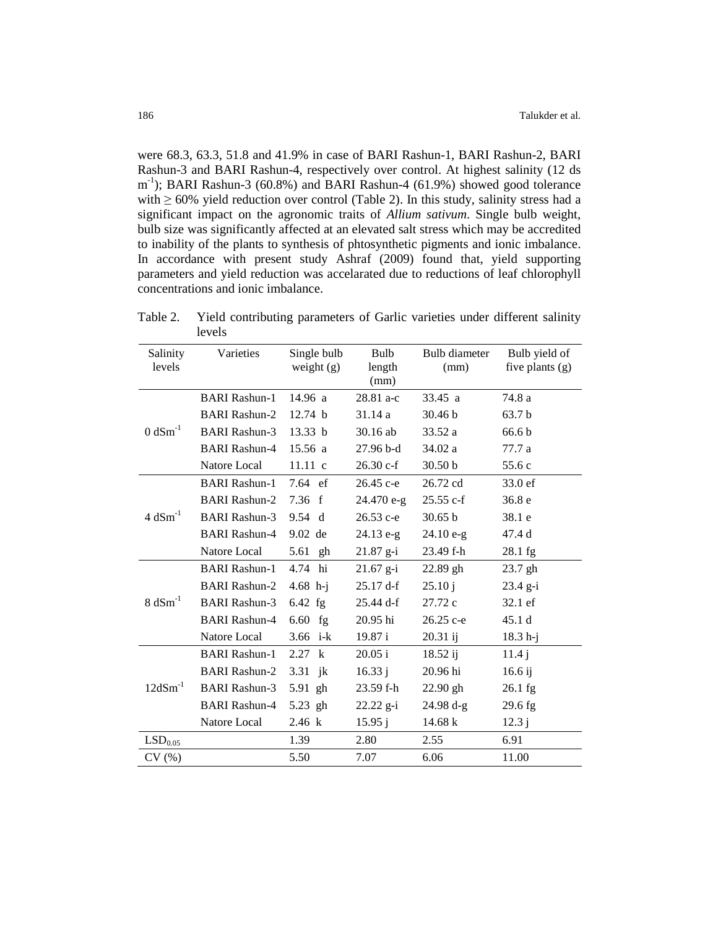were 68.3, 63.3, 51.8 and 41.9% in case of BARI Rashun-1, BARI Rashun-2, BARI Rashun-3 and BARI Rashun-4, respectively over control. At highest salinity (12 ds m<sup>-1</sup>); BARI Rashun-3 (60.8%) and BARI Rashun-4 (61.9%) showed good tolerance with  $\geq 60\%$  yield reduction over control (Table 2). In this study, salinity stress had a significant impact on the agronomic traits of *Allium sativum*. Single bulb weight, bulb size was significantly affected at an elevated salt stress which may be accredited to inability of the plants to synthesis of phtosynthetic pigments and ionic imbalance. In accordance with present study Ashraf (2009) found that, yield supporting parameters and yield reduction was accelarated due to reductions of leaf chlorophyll concentrations and ionic imbalance.

| Salinity<br>levels    | Varieties            | Single bulb<br>weight $(g)$ | Bulb<br>length<br>(mm) | Bulb diameter<br>(mm) | Bulb yield of<br>five plants (g) |
|-----------------------|----------------------|-----------------------------|------------------------|-----------------------|----------------------------------|
| $0 dSm^{-1}$          | <b>BARI</b> Rashun-1 | 14.96 a                     | 28.81 a-c              | 33.45 a               | 74.8 a                           |
|                       | <b>BARI Rashun-2</b> | 12.74 b                     | 31.14a                 | 30.46 b               | 63.7 b                           |
|                       | <b>BARI Rashun-3</b> | 13.33 b                     | $30.16$ ab             | 33.52 a               | 66.6 <sub>b</sub>                |
|                       | <b>BARI Rashun-4</b> | 15.56a                      | $27.96 b-d$            | 34.02 a               | 77.7 a                           |
|                       | Natore Local         | 11.11 c                     | $26.30 c-f$            | 30.50 b               | 55.6 c                           |
| $4$ dSm <sup>-1</sup> | <b>BARI</b> Rashun-1 | $7.64$ ef                   | 26.45 c-e              | 26.72 cd              | 33.0 ef                          |
|                       | <b>BARI Rashun-2</b> | 7.36 f                      | $24.470 e-g$           | $25.55 c-f$           | 36.8 <sub>e</sub>                |
|                       | <b>BARI Rashun-3</b> | 9.54 d                      | 26.53 с-е              | 30.65 b               | 38.1 e                           |
|                       | <b>BARI Rashun-4</b> | $9.02$ de                   | $24.13 e-g$            | $24.10 e-g$           | 47.4 d                           |
|                       | Natore Local         | 5.61 gh                     | $21.87$ g-i            | 23.49 f-h             | 28.1 fg                          |
| $8 \text{ dSm}^{-1}$  | <b>BARI Rashun-1</b> | 4.74 hi                     | $21.67$ g-i            | 22.89 gh              | 23.7 gh                          |
|                       | <b>BARI Rashun-2</b> | $4.68$ h-j                  | 25.17 d-f              | 25.10j                | $23.4 g-i$                       |
|                       | <b>BARI Rashun-3</b> | $6.42$ fg                   | $25.44 \text{ d-f}$    | 27.72 c               | 32.1 ef                          |
|                       | <b>BARI Rashun-4</b> | $6.60$ fg                   | 20.95 hi               | 26.25 c-e             | 45.1 d                           |
|                       | Natore Local         | 3.66 i-k                    | 19.87 i                | 20.31 ij              | $18.3 h-j$                       |
| $12dSm^{-1}$          | <b>BARI</b> Rashun-1 | 2.27 k                      | 20.05 i                | 18.52 i               | 11.4j                            |
|                       | <b>BARI Rashun-2</b> | 3.31 $jk$                   | 16.33 i                | 20.96 hi              | $16.6$ ij                        |
|                       | <b>BARI Rashun-3</b> | 5.91 gh                     | 23.59 f-h              | $22.90$ gh            | $26.1$ fg                        |
|                       | <b>BARI</b> Rashun-4 | 5.23 gh                     | $22.22$ g-i            | 24.98 d-g             | $29.6$ fg                        |
|                       | Natore Local         | 2.46 k                      | 15.95 i                | 14.68 k               | 12.3j                            |
| LSD <sub>0.05</sub>   |                      | 1.39                        | 2.80                   | 2.55                  | 6.91                             |
| CV(%)                 |                      | 5.50                        | 7.07                   | 6.06                  | 11.00                            |

Table 2. Yield contributing parameters of Garlic varieties under different salinity levels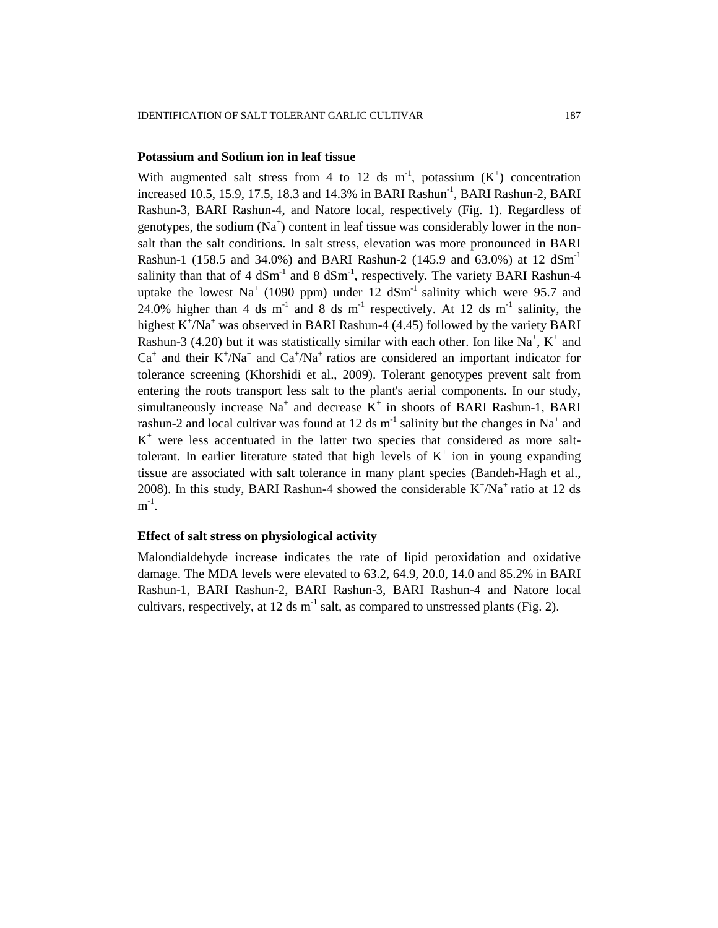# **Potassium and Sodium ion in leaf tissue**

With augmented salt stress from 4 to 12 ds m<sup>-1</sup>, potassium  $(K^+)$  concentration increased 10.5, 15.9, 17.5, 18.3 and 14.3% in BARI Rashun-1 , BARI Rashun-2, BARI Rashun-3, BARI Rashun-4, and Natore local, respectively (Fig. 1). Regardless of genotypes, the sodium  $(Na^+)$  content in leaf tissue was considerably lower in the nonsalt than the salt conditions. In salt stress, elevation was more pronounced in BARI Rashun-1 (158.5 and 34.0%) and BARI Rashun-2 (145.9 and 63.0%) at 12 dSm-1 salinity than that of 4  $dSm^{-1}$  and 8  $dSm^{-1}$ , respectively. The variety BARI Rashun-4 uptake the lowest Na<sup>+</sup> (1090 ppm) under 12 dSm<sup>-1</sup> salinity which were 95.7 and 24.0% higher than 4 ds m<sup>-1</sup> and 8 ds m<sup>-1</sup> respectively. At 12 ds m<sup>-1</sup> salinity, the highest  $K^+/Na^+$  was observed in BARI Rashun-4 (4.45) followed by the variety BARI Rashun-3 (4.20) but it was statistically similar with each other. Ion like  $Na^+$ ,  $K^+$  and  $Ca<sup>+</sup>$  and their K<sup>+</sup>/Na<sup>+</sup> and  $Ca<sup>+</sup>/Na<sup>+</sup>$  ratios are considered an important indicator for tolerance screening (Khorshidi et al., 2009). Tolerant genotypes prevent salt from entering the roots transport less salt to the plant's aerial components. In our study, simultaneously increase  $Na<sup>+</sup>$  and decrease  $K<sup>+</sup>$  in shoots of BARI Rashun-1, BARI rashun-2 and local cultivar was found at 12 ds  $m^{-1}$  salinity but the changes in Na<sup>+</sup> and K <sup>+</sup> were less accentuated in the latter two species that considered as more salttolerant. In earlier literature stated that high levels of  $K^+$  ion in young expanding tissue are associated with salt tolerance in many plant species (Bandeh-Hagh et al., 2008). In this study, BARI Rashun-4 showed the considerable  $K^+/Na^+$  ratio at 12 ds  $m^{-1}$ .

# **Effect of salt stress on physiological activity**

Malondialdehyde increase indicates the rate of lipid peroxidation and oxidative damage. The MDA levels were elevated to 63.2, 64.9, 20.0, 14.0 and 85.2% in BARI Rashun-1, BARI Rashun-2, BARI Rashun-3, BARI Rashun-4 and Natore local cultivars, respectively, at 12 ds  $m^{-1}$  salt, as compared to unstressed plants (Fig. 2).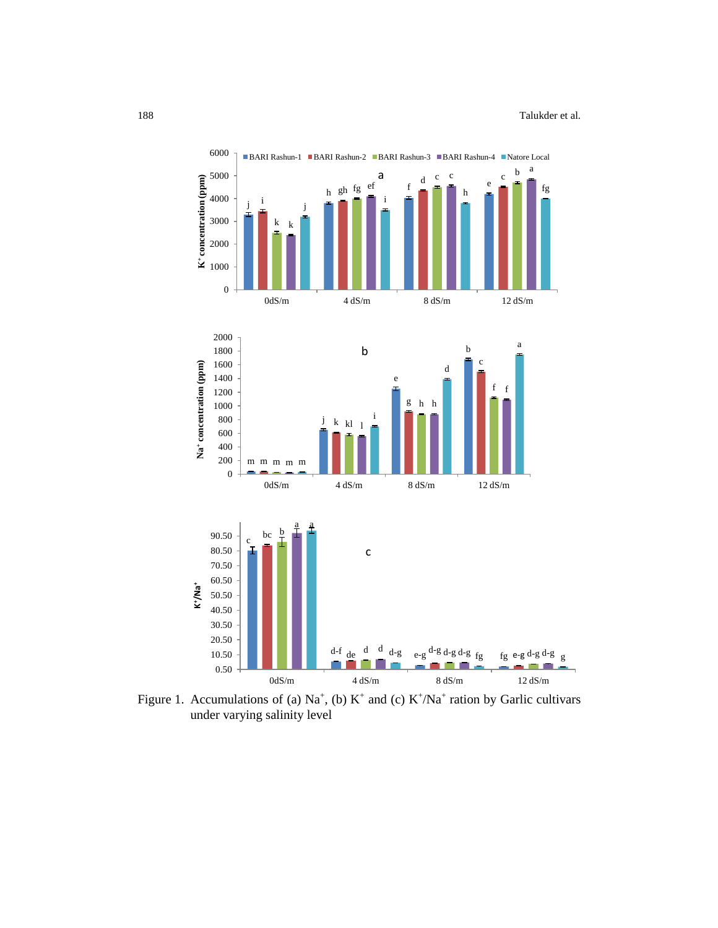

Figure 1. Accumulations of (a)  $\text{Na}^+$ , (b)  $\text{K}^+$  and (c)  $\text{K}^+/\text{Na}^+$  ration by Garlic cultivars under varying salinity level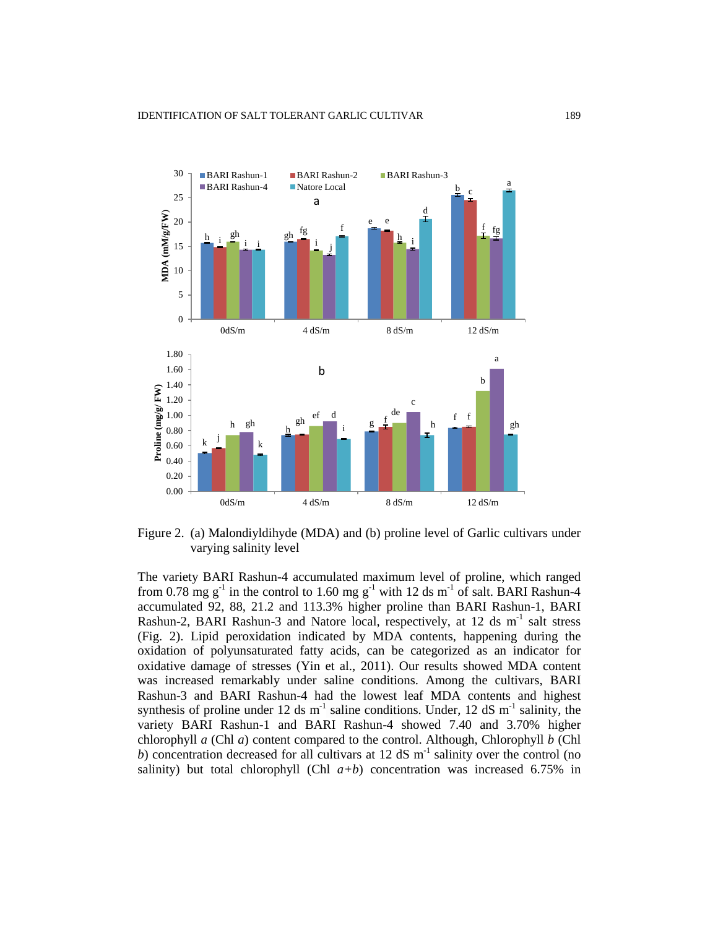

Figure 2. (a) Malondiyldihyde (MDA) and (b) proline level of Garlic cultivars under varying salinity level

The variety BARI Rashun-4 accumulated maximum level of proline, which ranged from 0.78 mg  $g^{-1}$  in the control to 1.60 mg  $g^{-1}$  with 12 ds m<sup>-1</sup> of salt. BARI Rashun-4 accumulated 92, 88, 21.2 and 113.3% higher proline than BARI Rashun-1, BARI Rashun-2, BARI Rashun-3 and Natore local, respectively, at 12 ds m<sup>-1</sup> salt stress (Fig. 2). Lipid peroxidation indicated by MDA contents, happening during the oxidation of polyunsaturated fatty acids, can be categorized as an indicator for oxidative damage of stresses (Yin et al., 2011). Our results showed MDA content was increased remarkably under saline conditions. Among the cultivars, BARI Rashun-3 and BARI Rashun-4 had the lowest leaf MDA contents and highest synthesis of proline under 12 ds  $m^{-1}$  saline conditions. Under, 12 dS  $m^{-1}$  salinity, the variety BARI Rashun-1 and BARI Rashun-4 showed 7.40 and 3.70% higher chlorophyll *a* (Chl *a*) content compared to the control. Although, Chlorophyll *b* (Chl  $b$ ) concentration decreased for all cultivars at 12 dS m<sup>-1</sup> salinity over the control (no salinity) but total chlorophyll (Chl  $a+b$ ) concentration was increased 6.75% in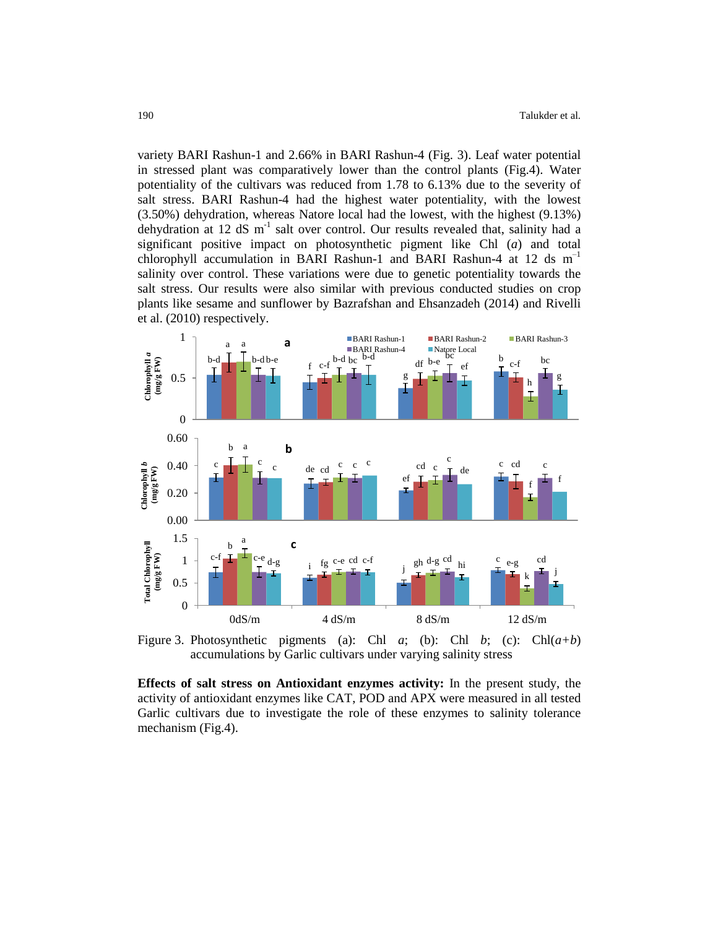variety BARI Rashun-1 and 2.66% in BARI Rashun-4 (Fig. 3). Leaf water potential in stressed plant was comparatively lower than the control plants (Fig.4). Water potentiality of the cultivars was reduced from 1.78 to 6.13% due to the severity of salt stress. BARI Rashun-4 had the highest water potentiality, with the lowest (3.50%) dehydration, whereas Natore local had the lowest, with the highest (9.13%) dehydration at 12 dS m<sup>-1</sup> salt over control. Our results revealed that, salinity had a significant positive impact on photosynthetic pigment like Chl (*a*) and total chlorophyll accumulation in BARI Rashun-1 and BARI Rashun-4 at 12 ds m<sup>-1</sup> salinity over control. These variations were due to genetic potentiality towards the salt stress. Our results were also similar with previous conducted studies on crop plants like sesame and sunflower by Bazrafshan and Ehsanzadeh (2014) and Rivelli et al. (2010) respectively.



Figure 3. Photosynthetic pigments (a): Chl *a*; (b): Chl *b*; (c): Chl $(a+b)$ accumulations by Garlic cultivars under varying salinity stress

**Effects of salt stress on Antioxidant enzymes activity:** In the present study, the activity of antioxidant enzymes like CAT, POD and APX were measured in all tested Garlic cultivars due to investigate the role of these enzymes to salinity tolerance mechanism (Fig.4).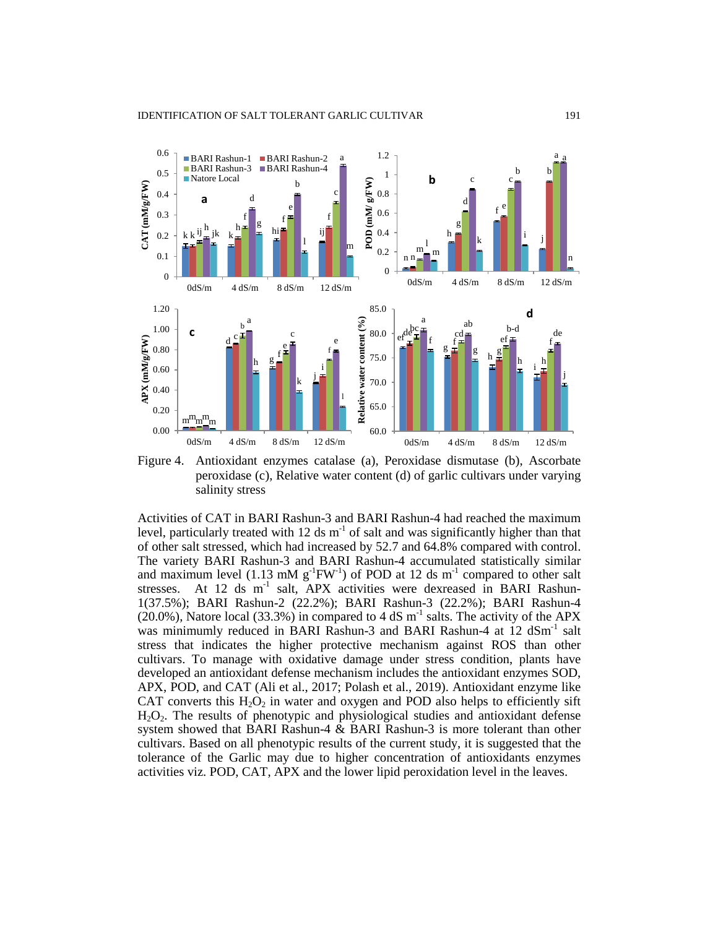

Figure 4. Antioxidant enzymes catalase (a), Peroxidase dismutase (b), Ascorbate peroxidase (c), Relative water content (d) of garlic cultivars under varying salinity stress

Activities of CAT in BARI Rashun-3 and BARI Rashun-4 had reached the maximum level, particularly treated with 12 ds  $m^{-1}$  of salt and was significantly higher than that of other salt stressed, which had increased by 52.7 and 64.8% compared with control. The variety BARI Rashun-3 and BARI Rashun-4 accumulated statistically similar and maximum level (1.13 mM  $g^{-1}FW^{-1}$ ) of POD at 12 ds m<sup>-1</sup> compared to other salt stresses. At 12 ds m<sup>-1</sup> salt, APX activities were dexreased in BARI Rashun-1(37.5%); BARI Rashun-2 (22.2%); BARI Rashun-3 (22.2%); BARI Rashun-4  $(20.0\%)$ , Natore local (33.3%) in compared to 4 dS m<sup>-1</sup> salts. The activity of the APX was minimumly reduced in BARI Rashun-3 and BARI Rashun-4 at 12 dSm<sup>-1</sup> salt stress that indicates the higher protective mechanism against ROS than other cultivars. To manage with oxidative damage under stress condition, plants have developed an antioxidant defense mechanism includes the antioxidant enzymes SOD, APX, POD, and CAT (Ali et al., 2017; Polash et al., 2019). Antioxidant enzyme like CAT converts this  $H_2O_2$  in water and oxygen and POD also helps to efficiently sift H2O2. The results of phenotypic and physiological studies and antioxidant defense system showed that BARI Rashun-4 & BARI Rashun-3 is more tolerant than other cultivars. Based on all phenotypic results of the current study, it is suggested that the tolerance of the Garlic may due to higher concentration of antioxidants enzymes activities viz. POD, CAT, APX and the lower lipid peroxidation level in the leaves.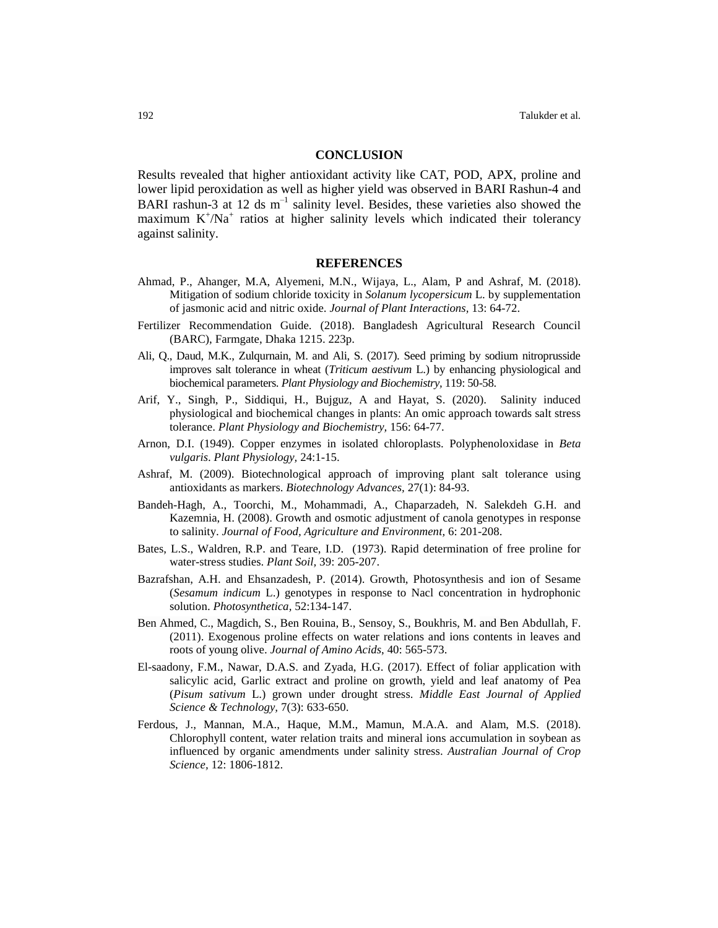#### **CONCLUSION**

Results revealed that higher antioxidant activity like CAT, POD, APX, proline and lower lipid peroxidation as well as higher yield was observed in BARI Rashun-4 and BARI rashun-3 at 12 ds  $m^{-1}$  salinity level. Besides, these varieties also showed the maximum  $K^+/Na^+$  ratios at higher salinity levels which indicated their tolerancy against salinity.

#### **REFERENCES**

- Ahmad, P., Ahanger, M.A, Alyemeni, M.N., Wijaya, L., Alam, P and Ashraf, M. (2018). Mitigation of sodium chloride toxicity in *Solanum lycopersicum* L. by supplementation of jasmonic acid and nitric oxide. *Journal of Plant Interactions,* 13: 64-72.
- Fertilizer Recommendation Guide. (2018). Bangladesh Agricultural Research Council (BARC), Farmgate, Dhaka 1215. 223p.
- Ali, Q., Daud, M.K., Zulqurnain, M. and Ali, S. (2017). Seed priming by sodium nitroprusside improves salt tolerance in wheat (*Triticum aestivum* L.) by enhancing physiological and biochemical parameters. *Plant Physiology and Biochemistry,* 119: 50-58.
- Arif, Y., Singh, P., Siddiqui, H., Bujguz, A and Hayat, S. (2020). Salinity induced physiological and biochemical changes in plants: An omic approach towards salt stress tolerance. *Plant Physiology and Biochemistry,* 156: 64-77.
- Arnon, D.I. (1949). Copper enzymes in isolated chloroplasts. Polyphenoloxidase in *Beta vulgaris*. *Plant Physiology,* 24:1-15.
- Ashraf, M. (2009). Biotechnological approach of improving plant salt tolerance using antioxidants as markers. *Biotechnology Advances,* 27(1): 84-93.
- Bandeh-Hagh, A., Toorchi, M., Mohammadi, A., Chaparzadeh, N. Salekdeh G.H. and Kazemnia, H. (2008). Growth and osmotic adjustment of canola genotypes in response to salinity. *Journal of Food, Agriculture and Environment,* 6: 201-208.
- Bates, L.S., Waldren, R.P. and Teare, I.D. (1973). Rapid determination of free proline for water-stress studies. *Plant Soil,* 39: 205-207.
- Bazrafshan, A.H. and Ehsanzadesh, P. (2014). Growth, Photosynthesis and ion of Sesame (*Sesamum indicum* L.) genotypes in response to Nacl concentration in hydrophonic solution. *Photosynthetica,* 52:134-147.
- Ben Ahmed, C., Magdich, S., Ben Rouina, B., Sensoy, S., Boukhris, M. and Ben Abdullah, F. (2011). Exogenous proline effects on water relations and ions contents in leaves and roots of young olive. *Journal of Amino Acids*, 40: 565-573.
- El-saadony, F.M., Nawar, D.A.S. and Zyada, H.G. (2017). Effect of foliar application with salicylic acid, Garlic extract and proline on growth, yield and leaf anatomy of Pea (*Pisum sativum* L.) grown under drought stress. *Middle East Journal of Applied Science & Technology,* 7(3): 633-650.
- Ferdous, J., Mannan, M.A., Haque, M.M., Mamun, M.A.A. and Alam, M.S. (2018). Chlorophyll content, water relation traits and mineral ions accumulation in soybean as influenced by organic amendments under salinity stress. *Australian Journal of Crop Science,* 12: 1806-1812.